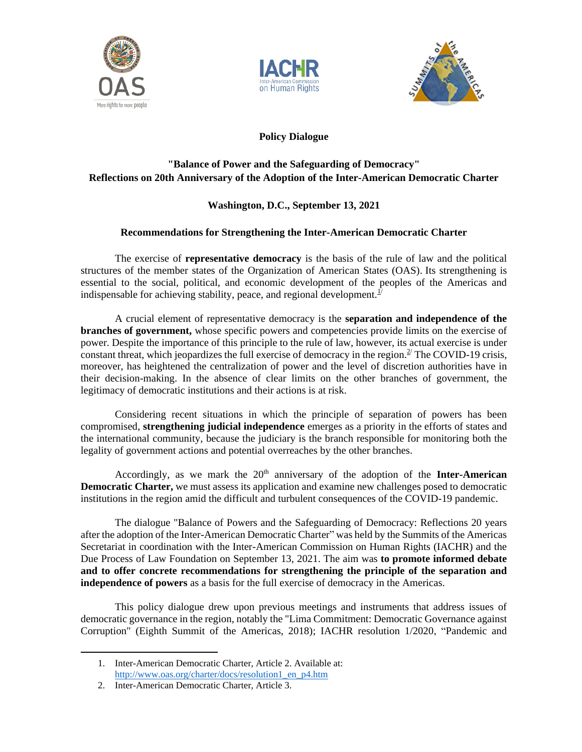





# **Policy Dialogue**

# **"Balance of Power and the Safeguarding of Democracy" Reflections on 20th Anniversary of the Adoption of the Inter-American Democratic Charter**

### **Washington, D.C., September 13, 2021**

### **Recommendations for Strengthening the Inter-American Democratic Charter**

The exercise of **representative democracy** is the basis of the rule of law and the political structures of the member states of the Organization of American States (OAS). Its strengthening is essential to the social, political, and economic development of the peoples of the Americas and indispensable for achieving stability, peace, and regional development.<sup>1/</sup>

A crucial element of representative democracy is the **separation and independence of the branches of government,** whose specific powers and competencies provide limits on the exercise of power. Despite the importance of this principle to the rule of law, however, its actual exercise is under constant threat, which jeopardizes the full exercise of democracy in the region.<sup>2/</sup> The COVID-19 crisis, moreover, has heightened the centralization of power and the level of discretion authorities have in their decision-making. In the absence of clear limits on the other branches of government, the legitimacy of democratic institutions and their actions is at risk.

Considering recent situations in which the principle of separation of powers has been compromised, **strengthening judicial independence** emerges as a priority in the efforts of states and the international community, because the judiciary is the branch responsible for monitoring both the legality of government actions and potential overreaches by the other branches.

Accordingly, as we mark the  $20<sup>th</sup>$  anniversary of the adoption of the **Inter-American Democratic Charter,** we must assess its application and examine new challenges posed to democratic institutions in the region amid the difficult and turbulent consequences of the COVID-19 pandemic.

The dialogue "Balance of Powers and the Safeguarding of Democracy: Reflections 20 years after the adoption of the Inter-American Democratic Charter" was held by the Summits of the Americas Secretariat in coordination with the Inter-American Commission on Human Rights (IACHR) and the Due Process of Law Foundation on September 13, 2021. The aim was **to promote informed debate and to offer concrete recommendations for strengthening the principle of the separation and independence of powers** as a basis for the full exercise of democracy in the Americas.

This policy dialogue drew upon previous meetings and instruments that address issues of democratic governance in the region, notably the "Lima Commitment: Democratic Governance against Corruption" (Eighth Summit of the Americas, 2018); IACHR resolution 1/2020, "Pandemic and

<sup>1.</sup> Inter-American Democratic Charter, Article 2. Available at: [http://www.oas.org/charter/docs/resolution1\\_en\\_p4.htm](http://www.oas.org/charter/docs/resolution1_en_p4.htm)

<sup>2.</sup> Inter-American Democratic Charter, Article 3.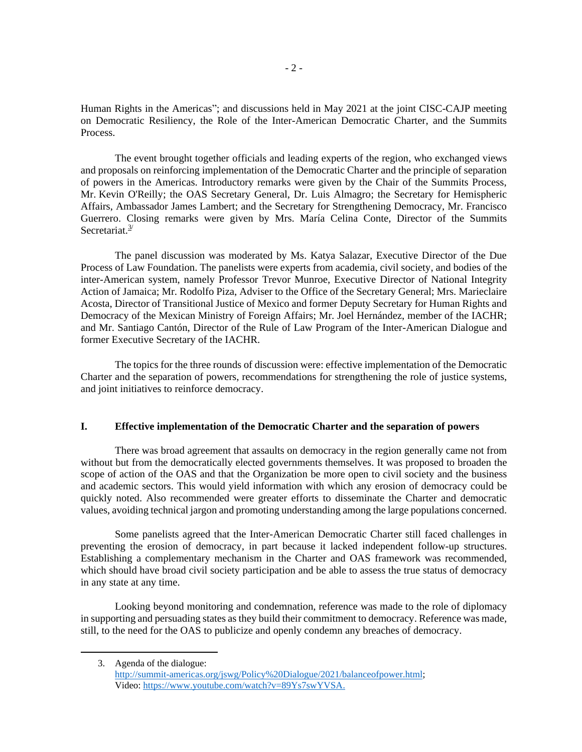Human Rights in the Americas"; and discussions held in May 2021 at the joint CISC-CAJP meeting on Democratic Resiliency, the Role of the Inter-American Democratic Charter, and the Summits Process.

The event brought together officials and leading experts of the region, who exchanged views and proposals on reinforcing implementation of the Democratic Charter and the principle of separation of powers in the Americas. Introductory remarks were given by the Chair of the Summits Process, Mr. Kevin O'Reilly; the OAS Secretary General, Dr. Luis Almagro; the Secretary for Hemispheric Affairs, Ambassador James Lambert; and the Secretary for Strengthening Democracy, Mr. Francisco Guerrero. Closing remarks were given by Mrs. María Celina Conte, Director of the Summits Secretariat. $3/$ 

The panel discussion was moderated by Ms. Katya Salazar, Executive Director of the Due Process of Law Foundation. The panelists were experts from academia, civil society, and bodies of the inter-American system, namely Professor Trevor Munroe, Executive Director of National Integrity Action of Jamaica; Mr. Rodolfo Piza, Adviser to the Office of the Secretary General; Mrs. Marieclaire Acosta, Director of Transitional Justice of Mexico and former Deputy Secretary for Human Rights and Democracy of the Mexican Ministry of Foreign Affairs; Mr. Joel Hernández, member of the IACHR; and Mr. Santiago Cantón, Director of the Rule of Law Program of the Inter-American Dialogue and former Executive Secretary of the IACHR.

The topics for the three rounds of discussion were: effective implementation of the Democratic Charter and the separation of powers, recommendations for strengthening the role of justice systems, and joint initiatives to reinforce democracy.

### **I. Effective implementation of the Democratic Charter and the separation of powers**

There was broad agreement that assaults on democracy in the region generally came not from without but from the democratically elected governments themselves. It was proposed to broaden the scope of action of the OAS and that the Organization be more open to civil society and the business and academic sectors. This would yield information with which any erosion of democracy could be quickly noted. Also recommended were greater efforts to disseminate the Charter and democratic values, avoiding technical jargon and promoting understanding among the large populations concerned.

Some panelists agreed that the Inter-American Democratic Charter still faced challenges in preventing the erosion of democracy, in part because it lacked independent follow-up structures. Establishing a complementary mechanism in the Charter and OAS framework was recommended, which should have broad civil society participation and be able to assess the true status of democracy in any state at any time.

Looking beyond monitoring and condemnation, reference was made to the role of diplomacy in supporting and persuading states as they build their commitment to democracy. Reference was made, still, to the need for the OAS to publicize and openly condemn any breaches of democracy.

<sup>3.</sup> Agenda of the dialogue: [http://summit-americas.org/jswg/Policy%20Dialogue/2021/balanceofpower.html;](http://summit-americas.org/jswg/Policy%20Dialogue/2021/balanceofpower.html) Video[: https://www.youtube.com/watch?v=89Ys7swYVSA.](https://www.youtube.com/watch?v=89Ys7swYVSA)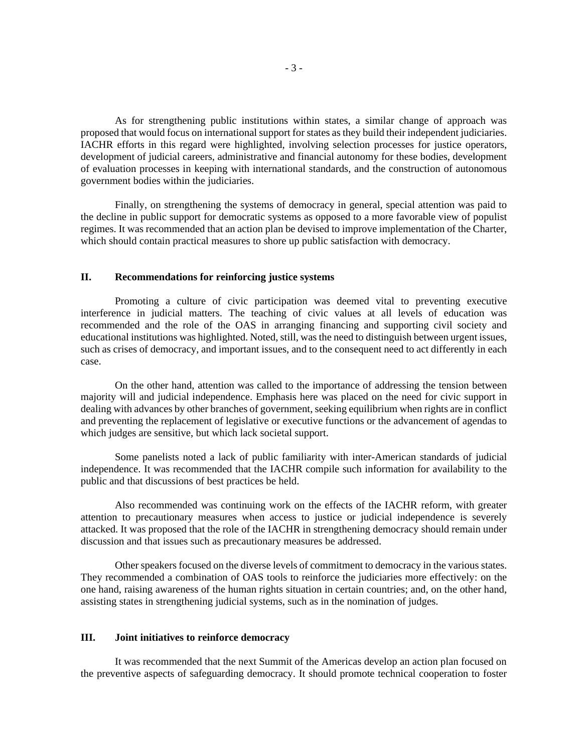As for strengthening public institutions within states, a similar change of approach was proposed that would focus on international support for states as they build their independent judiciaries. IACHR efforts in this regard were highlighted, involving selection processes for justice operators, development of judicial careers, administrative and financial autonomy for these bodies, development of evaluation processes in keeping with international standards, and the construction of autonomous government bodies within the judiciaries.

Finally, on strengthening the systems of democracy in general, special attention was paid to the decline in public support for democratic systems as opposed to a more favorable view of populist regimes. It was recommended that an action plan be devised to improve implementation of the Charter, which should contain practical measures to shore up public satisfaction with democracy.

### **II. Recommendations for reinforcing justice systems**

Promoting a culture of civic participation was deemed vital to preventing executive interference in judicial matters. The teaching of civic values at all levels of education was recommended and the role of the OAS in arranging financing and supporting civil society and educational institutions was highlighted. Noted, still, was the need to distinguish between urgent issues, such as crises of democracy, and important issues, and to the consequent need to act differently in each case.

On the other hand, attention was called to the importance of addressing the tension between majority will and judicial independence. Emphasis here was placed on the need for civic support in dealing with advances by other branches of government, seeking equilibrium when rights are in conflict and preventing the replacement of legislative or executive functions or the advancement of agendas to which judges are sensitive, but which lack societal support.

Some panelists noted a lack of public familiarity with inter-American standards of judicial independence. It was recommended that the IACHR compile such information for availability to the public and that discussions of best practices be held.

Also recommended was continuing work on the effects of the IACHR reform, with greater attention to precautionary measures when access to justice or judicial independence is severely attacked. It was proposed that the role of the IACHR in strengthening democracy should remain under discussion and that issues such as precautionary measures be addressed.

Other speakers focused on the diverse levels of commitment to democracy in the various states. They recommended a combination of OAS tools to reinforce the judiciaries more effectively: on the one hand, raising awareness of the human rights situation in certain countries; and, on the other hand, assisting states in strengthening judicial systems, such as in the nomination of judges.

### **III. Joint initiatives to reinforce democracy**

It was recommended that the next Summit of the Americas develop an action plan focused on the preventive aspects of safeguarding democracy. It should promote technical cooperation to foster